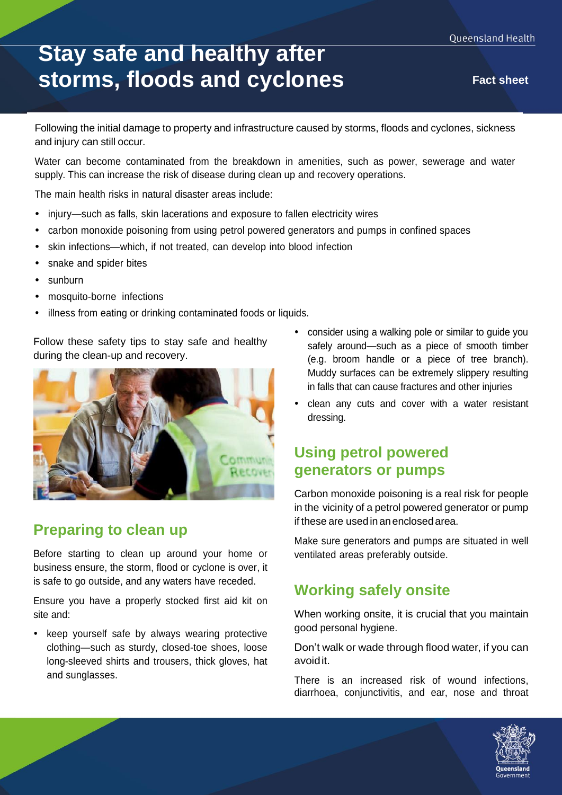# **Stay safe and healthy after storms, floods and cyclones Fact sheet**

Following the initial damage to property and infrastructure caused by storms, floods and cyclones, sickness and injury can still occur.

Water can become contaminated from the breakdown in amenities, such as power, sewerage and water supply. This can increase the risk of disease during clean up and recovery operations.

The main health risks in natural disaster areas include:

- injury—such as falls, skin lacerations and exposure to fallen electricity wires
- carbon monoxide poisoning from using petrol powered generators and pumps in confined spaces
- skin infections—which, if not treated, can develop into blood infection
- snake and spider bites
- sunburn
- mosquito-borne infections
- illness from eating or drinking contaminated foods or liquids.

Follow these safety tips to stay safe and healthy during the clean-up and recovery.



## **Preparing to clean up**

Before starting to clean up around your home or business ensure, the storm, flood or cyclone is over, it is safe to go outside, and any waters have receded.

Ensure you have a properly stocked first aid kit on site and:

• keep yourself safe by always wearing protective clothing—such as sturdy, closed-toe shoes, loose long-sleeved shirts and trousers, thick gloves, hat and sunglasses.

- consider using a walking pole or similar to guide you safely around—such as a piece of smooth timber (e.g. broom handle or a piece of tree branch). Muddy surfaces can be extremely slippery resulting in falls that can cause fractures and other injuries
- clean any cuts and cover with a water resistant dressing.

# **Using petrol powered generators or pumps**

Carbon monoxide poisoning is a real risk for people in the vicinity of a petrol powered generator or pump if these are used in an enclosed area.

Make sure generators and pumps are situated in well ventilated areas preferably outside.

## **Working safely onsite**

When working onsite, it is crucial that you maintain good personal hygiene.

Don't walk or wade through flood water, if you can avoidit.

There is an increased risk of wound infections, diarrhoea, conjunctivitis, and ear, nose and throat